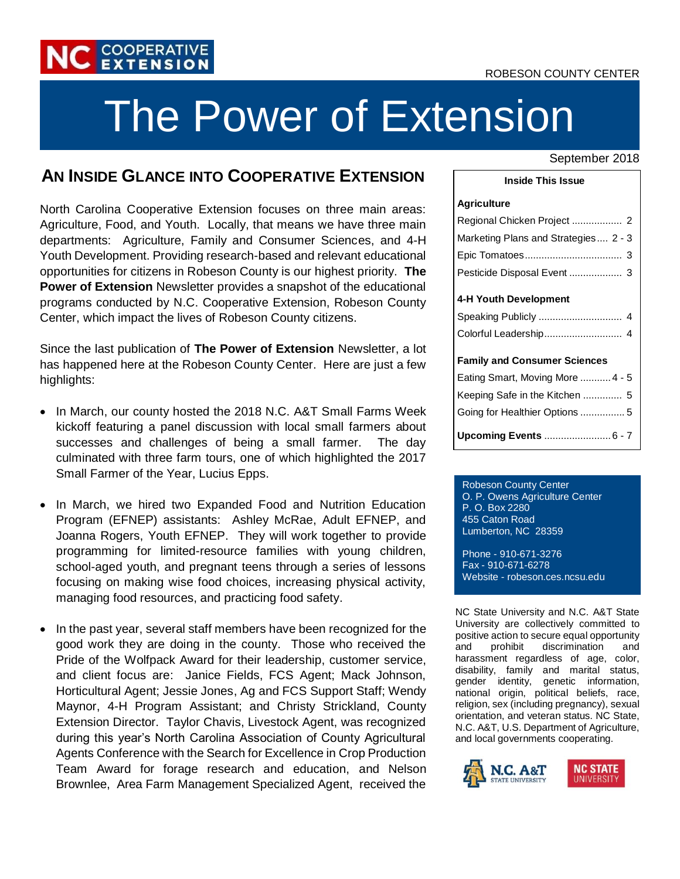#### ROBESON COUNTY CENTER



# The Power of Extension

## **AN INSIDE GLANCE INTO COOPERATIVE EXTENSION**

North Carolina Cooperative Extension focuses on three main areas: Agriculture, Food, and Youth. Locally, that means we have three main departments: Agriculture, Family and Consumer Sciences, and 4-H Youth Development. Providing research-based and relevant educational opportunities for citizens in Robeson County is our highest priority. **The Power of Extension** Newsletter provides a snapshot of the educational programs conducted by N.C. Cooperative Extension, Robeson County Center, which impact the lives of Robeson County citizens.

Since the last publication of **The Power of Extension** Newsletter, a lot has happened here at the Robeson County Center. Here are just a few highlights:

- In March, our county hosted the 2018 N.C. A&T Small Farms Week kickoff featuring a panel discussion with local small farmers about successes and challenges of being a small farmer. The day culminated with three farm tours, one of which highlighted the 2017 Small Farmer of the Year, Lucius Epps.
- In March, we hired two Expanded Food and Nutrition Education Program (EFNEP) assistants: Ashley McRae, Adult EFNEP, and Joanna Rogers, Youth EFNEP. They will work together to provide programming for limited-resource families with young children, school-aged youth, and pregnant teens through a series of lessons focusing on making wise food choices, increasing physical activity, managing food resources, and practicing food safety.
- In the past year, several staff members have been recognized for the good work they are doing in the county. Those who received the Pride of the Wolfpack Award for their leadership, customer service, and client focus are: Janice Fields, FCS Agent; Mack Johnson, Horticultural Agent; Jessie Jones, Ag and FCS Support Staff; Wendy Maynor, 4-H Program Assistant; and Christy Strickland, County Extension Director. Taylor Chavis, Livestock Agent, was recognized during this year's North Carolina Association of County Agricultural Agents Conference with the Search for Excellence in Crop Production Team Award for forage research and education, and Nelson Brownlee, Area Farm Management Specialized Agent, received the

#### September 2018

#### **Inside This Issue**

#### **Agriculture**

| Marketing Plans and Strategies 2 - 3 |
|--------------------------------------|
|                                      |
| Pesticide Disposal Event  3          |
|                                      |
| 4-H Youth Development                |
|                                      |
|                                      |
|                                      |
| <b>Family and Consumer Sciences</b>  |
| Eating Smart, Moving More  4 - 5     |
| Keeping Safe in the Kitchen  5       |
| Going for Healthier Options 5        |
| Upcoming Events  6 - 7               |

Robeson County Center O. P. Owens Agriculture Center P. O. Box 2280 455 Caton Road Lumberton, NC 28359

Phone - 910-671-3276 Fax - 910-671-6278 Website - robeson.ces.ncsu.edu

NC State University and N.C. A&T State University are collectively committed to positive action to secure equal opportunity and prohibit discrimination and harassment regardless of age, color, disability, family and marital status, gender identity, genetic information, national origin, political beliefs, race, religion, sex (including pregnancy), sexual orientation, and veteran status. NC State, N.C. A&T, U.S. Department of Agriculture, and local governments cooperating.

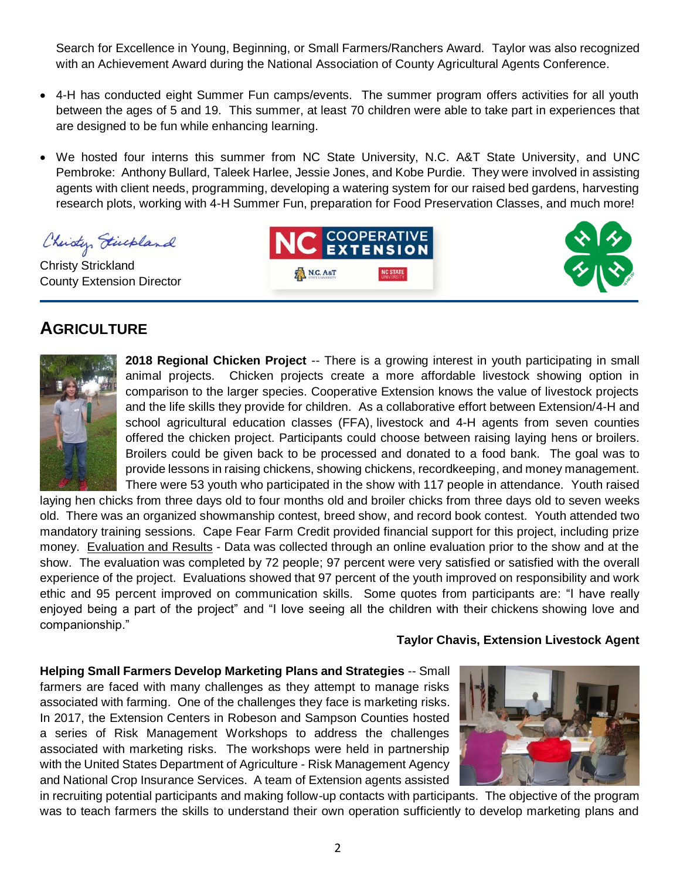Search for Excellence in Young, Beginning, or Small Farmers/Ranchers Award. Taylor was also recognized with an Achievement Award during the National Association of County Agricultural Agents Conference.

- 4-H has conducted eight Summer Fun camps/events. The summer program offers activities for all youth between the ages of 5 and 19. This summer, at least 70 children were able to take part in experiences that are designed to be fun while enhancing learning.
- We hosted four interns this summer from NC State University, N.C. A&T State University, and UNC Pembroke: Anthony Bullard, Taleek Harlee, Jessie Jones, and Kobe Purdie. They were involved in assisting agents with client needs, programming, developing a watering system for our raised bed gardens, harvesting research plots, working with 4-H Summer Fun, preparation for Food Preservation Classes, and much more!

N.C. A&T

Christy Finchland

Christy Strickland County Extension Director

## **AGRICULTURE**



**2018 Regional Chicken Project** -- There is a growing interest in youth participating in small animal projects. Chicken projects create a more affordable livestock showing option in comparison to the larger species. Cooperative Extension knows the value of livestock projects and the life skills they provide for children. As a collaborative effort between Extension/4-H and school agricultural education classes (FFA), livestock and 4-H agents from seven counties offered the chicken project. Participants could choose between raising laying hens or broilers. Broilers could be given back to be processed and donated to a food bank. The goal was to provide lessons in raising chickens, showing chickens, recordkeeping, and money management. There were 53 youth who participated in the show with 117 people in attendance. Youth raised

**COOPERATIVE** 

EXTENSION

laying hen chicks from three days old to four months old and broiler chicks from three days old to seven weeks old. There was an organized showmanship contest, breed show, and record book contest. Youth attended two mandatory training sessions. Cape Fear Farm Credit provided financial support for this project, including prize money. Evaluation and Results - Data was collected through an online evaluation prior to the show and at the show. The evaluation was completed by 72 people; 97 percent were very satisfied or satisfied with the overall experience of the project. Evaluations showed that 97 percent of the youth improved on responsibility and work ethic and 95 percent improved on communication skills. Some quotes from participants are: "I have really enjoyed being a part of the project" and "I love seeing all the children with their chickens showing love and companionship."

#### **Taylor Chavis, Extension Livestock Agent**

**Helping Small Farmers Develop Marketing Plans and Strategies** -- Small farmers are faced with many challenges as they attempt to manage risks associated with farming. One of the challenges they face is marketing risks. In 2017, the Extension Centers in Robeson and Sampson Counties hosted a series of Risk Management Workshops to address the challenges associated with marketing risks. The workshops were held in partnership with the United States Department of Agriculture - Risk Management Agency and National Crop Insurance Services. A team of Extension agents assisted



in recruiting potential participants and making follow-up contacts with participants. The objective of the program was to teach farmers the skills to understand their own operation sufficiently to develop marketing plans and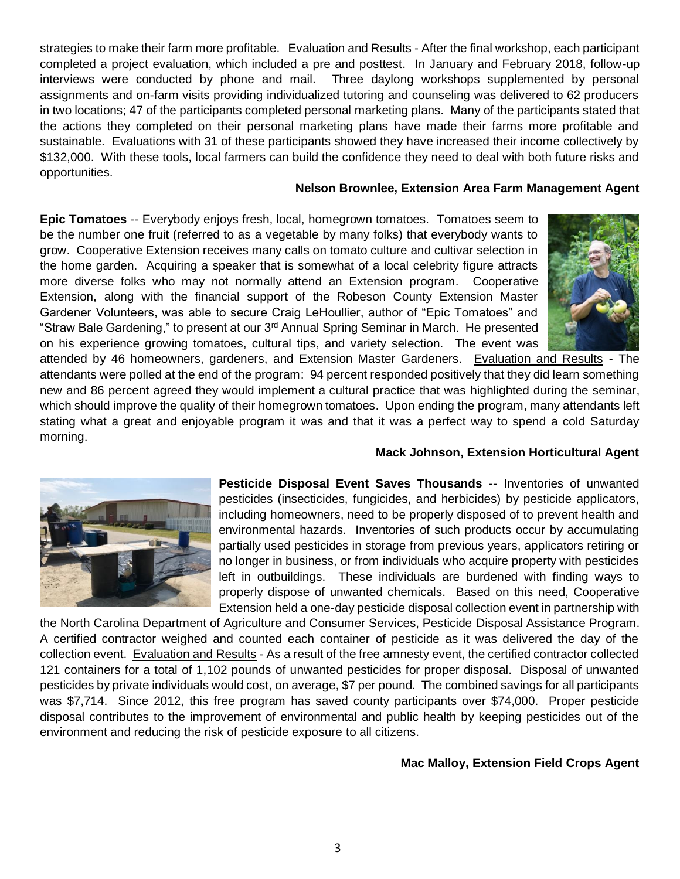strategies to make their farm more profitable. Evaluation and Results - After the final workshop, each participant completed a project evaluation, which included a pre and posttest. In January and February 2018, follow-up interviews were conducted by phone and mail. Three daylong workshops supplemented by personal assignments and on-farm visits providing individualized tutoring and counseling was delivered to 62 producers in two locations; 47 of the participants completed personal marketing plans. Many of the participants stated that the actions they completed on their personal marketing plans have made their farms more profitable and sustainable. Evaluations with 31 of these participants showed they have increased their income collectively by \$132,000. With these tools, local farmers can build the confidence they need to deal with both future risks and opportunities.

#### **Nelson Brownlee, Extension Area Farm Management Agent**

**Epic Tomatoes** -- Everybody enjoys fresh, local, homegrown tomatoes. Tomatoes seem to be the number one fruit (referred to as a vegetable by many folks) that everybody wants to grow. Cooperative Extension receives many calls on tomato culture and cultivar selection in the home garden. Acquiring a speaker that is somewhat of a local celebrity figure attracts more diverse folks who may not normally attend an Extension program. Cooperative Extension, along with the financial support of the Robeson County Extension Master Gardener Volunteers, was able to secure Craig LeHoullier, author of "Epic Tomatoes" and "Straw Bale Gardening," to present at our 3rd Annual Spring Seminar in March. He presented on his experience growing tomatoes, cultural tips, and variety selection. The event was



attended by 46 homeowners, gardeners, and Extension Master Gardeners. Evaluation and Results - The attendants were polled at the end of the program: 94 percent responded positively that they did learn something new and 86 percent agreed they would implement a cultural practice that was highlighted during the seminar, which should improve the quality of their homegrown tomatoes. Upon ending the program, many attendants left stating what a great and enjoyable program it was and that it was a perfect way to spend a cold Saturday morning.

#### **Mack Johnson, Extension Horticultural Agent**



**Pesticide Disposal Event Saves Thousands** -- Inventories of unwanted pesticides (insecticides, fungicides, and herbicides) by pesticide applicators, including homeowners, need to be properly disposed of to prevent health and environmental hazards. Inventories of such products occur by accumulating partially used pesticides in storage from previous years, applicators retiring or no longer in business, or from individuals who acquire property with pesticides left in outbuildings. These individuals are burdened with finding ways to properly dispose of unwanted chemicals. Based on this need, Cooperative Extension held a one-day pesticide disposal collection event in partnership with

the North Carolina Department of Agriculture and Consumer Services, Pesticide Disposal Assistance Program. A certified contractor weighed and counted each container of pesticide as it was delivered the day of the collection event. Evaluation and Results - As a result of the free amnesty event, the certified contractor collected 121 containers for a total of 1,102 pounds of unwanted pesticides for proper disposal. Disposal of unwanted pesticides by private individuals would cost, on average, \$7 per pound. The combined savings for all participants was \$7,714. Since 2012, this free program has saved county participants over \$74,000. Proper pesticide disposal contributes to the improvement of environmental and public health by keeping pesticides out of the environment and reducing the risk of pesticide exposure to all citizens.

#### **Mac Malloy, Extension Field Crops Agent**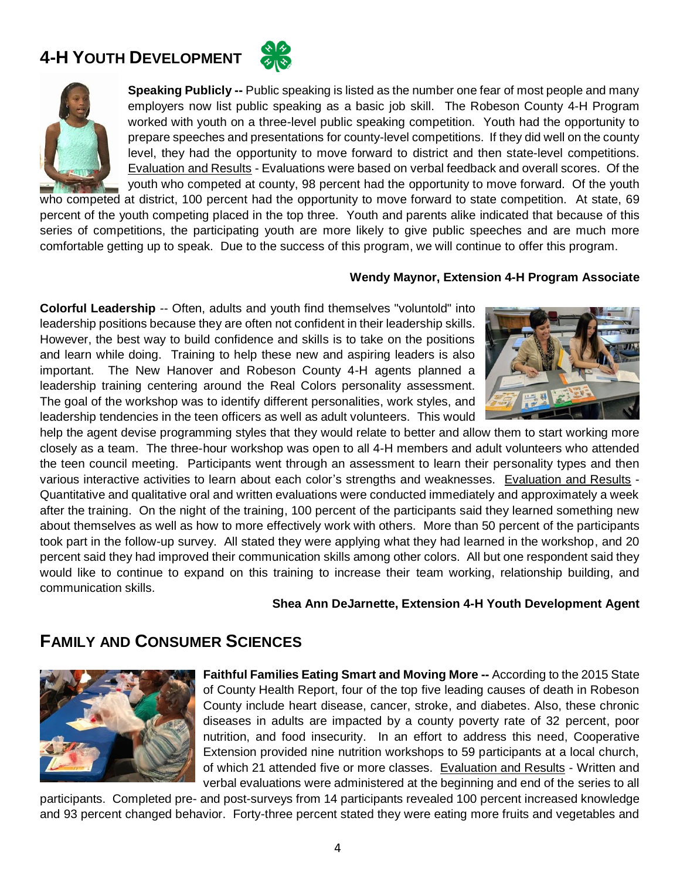## **4-H YOUTH DEVELOPMENT**





**Speaking Publicly --** Public speaking is listed as the number one fear of most people and many employers now list public speaking as a basic job skill. The Robeson County 4-H Program worked with youth on a three-level public speaking competition. Youth had the opportunity to prepare speeches and presentations for county-level competitions. If they did well on the county level, they had the opportunity to move forward to district and then state-level competitions. Evaluation and Results - Evaluations were based on verbal feedback and overall scores. Of the youth who competed at county, 98 percent had the opportunity to move forward. Of the youth

who competed at district, 100 percent had the opportunity to move forward to state competition. At state, 69 percent of the youth competing placed in the top three. Youth and parents alike indicated that because of this series of competitions, the participating youth are more likely to give public speeches and are much more comfortable getting up to speak. Due to the success of this program, we will continue to offer this program.

#### **Wendy Maynor, Extension 4-H Program Associate**

**Colorful Leadership** -- Often, adults and youth find themselves "voluntold" into leadership positions because they are often not confident in their leadership skills. However, the best way to build confidence and skills is to take on the positions and learn while doing. Training to help these new and aspiring leaders is also important. The New Hanover and Robeson County 4-H agents planned a leadership training centering around the Real Colors personality assessment. The goal of the workshop was to identify different personalities, work styles, and leadership tendencies in the teen officers as well as adult volunteers. This would



help the agent devise programming styles that they would relate to better and allow them to start working more closely as a team. The three-hour workshop was open to all 4-H members and adult volunteers who attended the teen council meeting. Participants went through an assessment to learn their personality types and then various interactive activities to learn about each color's strengths and weaknesses. Evaluation and Results - Quantitative and qualitative oral and written evaluations were conducted immediately and approximately a week after the training. On the night of the training, 100 percent of the participants said they learned something new about themselves as well as how to more effectively work with others. More than 50 percent of the participants took part in the follow-up survey. All stated they were applying what they had learned in the workshop, and 20 percent said they had improved their communication skills among other colors. All but one respondent said they would like to continue to expand on this training to increase their team working, relationship building, and communication skills.

#### **Shea Ann DeJarnette, Extension 4-H Youth Development Agent**

### **FAMILY AND CONSUMER SCIENCES**



**Faithful Families Eating Smart and Moving More --** According to the 2015 State of County Health Report, four of the top five leading causes of death in Robeson County include heart disease, cancer, stroke, and diabetes. Also, these chronic diseases in adults are impacted by a county poverty rate of 32 percent, poor nutrition, and food insecurity. In an effort to address this need, Cooperative Extension provided nine nutrition workshops to 59 participants at a local church, of which 21 attended five or more classes. Evaluation and Results - Written and verbal evaluations were administered at the beginning and end of the series to all

participants. Completed pre- and post-surveys from 14 participants revealed 100 percent increased knowledge and 93 percent changed behavior. Forty-three percent stated they were eating more fruits and vegetables and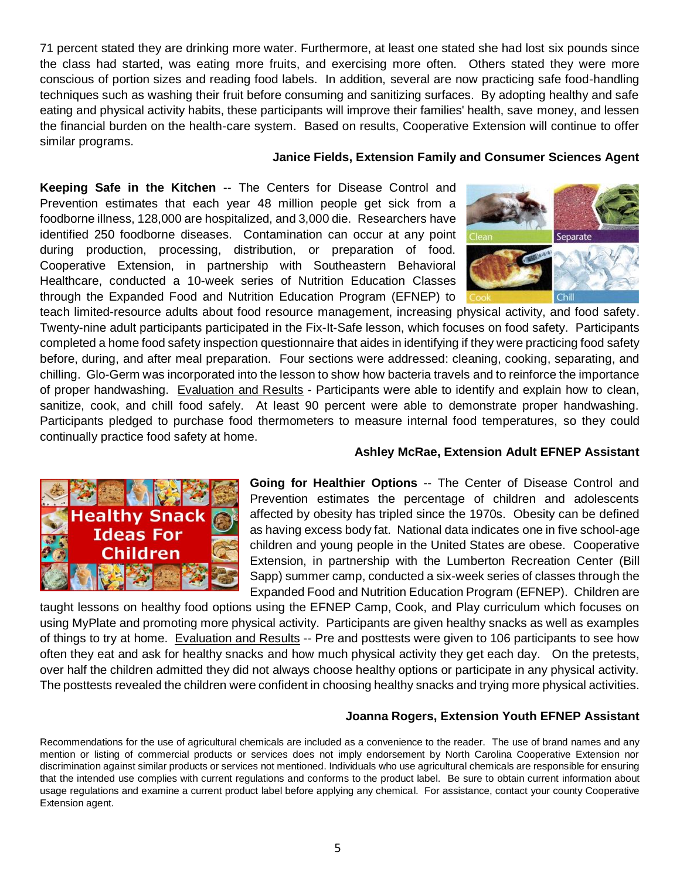71 percent stated they are drinking more water. Furthermore, at least one stated she had lost six pounds since the class had started, was eating more fruits, and exercising more often. Others stated they were more conscious of portion sizes and reading food labels. In addition, several are now practicing safe food-handling techniques such as washing their fruit before consuming and sanitizing surfaces. By adopting healthy and safe eating and physical activity habits, these participants will improve their families' health, save money, and lessen the financial burden on the health-care system. Based on results, Cooperative Extension will continue to offer similar programs.

#### **Janice Fields, Extension Family and Consumer Sciences Agent**

**Keeping Safe in the Kitchen** -- The Centers for Disease Control and Prevention estimates that each year 48 million people get sick from a foodborne illness, 128,000 are hospitalized, and 3,000 die. Researchers have identified 250 foodborne diseases. Contamination can occur at any point during production, processing, distribution, or preparation of food. Cooperative Extension, in partnership with Southeastern Behavioral Healthcare, conducted a 10-week series of Nutrition Education Classes through the Expanded Food and Nutrition Education Program (EFNEP) to

teach limited-resource adults about food resource management, increasing physical activity, and food safety. Twenty-nine adult participants participated in the Fix-It-Safe lesson, which focuses on food safety. Participants completed a home food safety inspection questionnaire that aides in identifying if they were practicing food safety before, during, and after meal preparation. Four sections were addressed: cleaning, cooking, separating, and chilling. Glo-Germ was incorporated into the lesson to show how bacteria travels and to reinforce the importance of proper handwashing. Evaluation and Results - Participants were able to identify and explain how to clean, sanitize, cook, and chill food safely. At least 90 percent were able to demonstrate proper handwashing. Participants pledged to purchase food thermometers to measure internal food temperatures, so they could continually practice food safety at home.

#### **Ashley McRae, Extension Adult EFNEP Assistant**

Separate

Chil



**Going for Healthier Options** -- The Center of Disease Control and Prevention estimates the percentage of children and adolescents affected by obesity has tripled since the 1970s. Obesity can be defined as having excess body fat. National data indicates one in five school-age children and young people in the United States are obese. Cooperative Extension, in partnership with the Lumberton Recreation Center (Bill Sapp) summer camp, conducted a six-week series of classes through the Expanded Food and Nutrition Education Program (EFNEP). Children are

taught lessons on healthy food options using the EFNEP Camp, Cook, and Play curriculum which focuses on using MyPlate and promoting more physical activity. Participants are given healthy snacks as well as examples of things to try at home. Evaluation and Results -- Pre and posttests were given to 106 participants to see how often they eat and ask for healthy snacks and how much physical activity they get each day. On the pretests, over half the children admitted they did not always choose healthy options or participate in any physical activity. The posttests revealed the children were confident in choosing healthy snacks and trying more physical activities.

#### **Joanna Rogers, Extension Youth EFNEP Assistant**

Recommendations for the use of agricultural chemicals are included as a convenience to the reader. The use of brand names and any mention or listing of commercial products or services does not imply endorsement by North Carolina Cooperative Extension nor discrimination against similar products or services not mentioned. Individuals who use agricultural chemicals are responsible for ensuring that the intended use complies with current regulations and conforms to the product label. Be sure to obtain current information about usage regulations and examine a current product label before applying any chemical. For assistance, contact your county Cooperative Extension agent.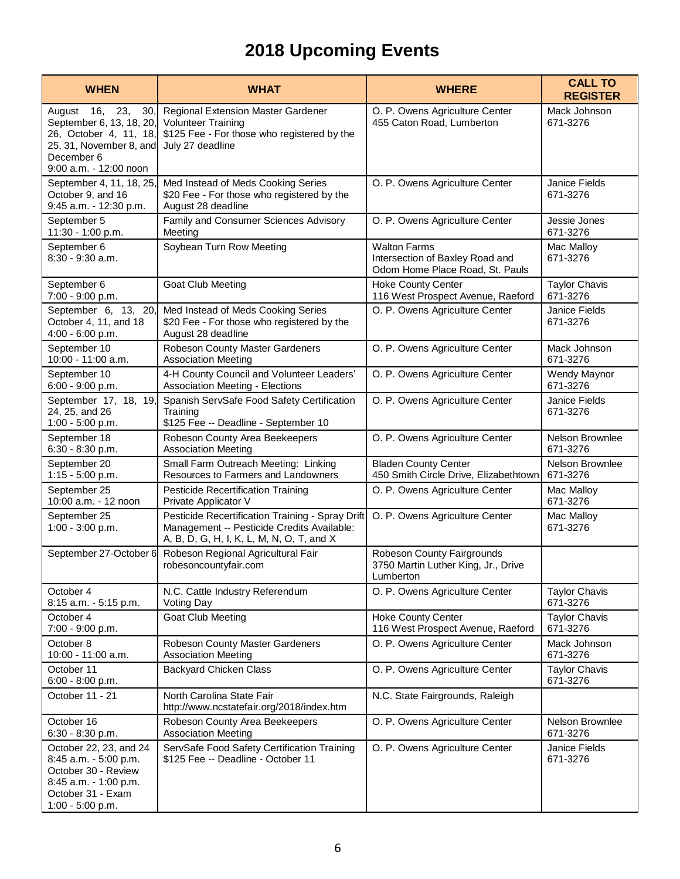## **2018 Upcoming Events**

| <b>WHEN</b>                                                                                                                                          | <b>WHAT</b>                                                                                                                                 | <b>WHERE</b>                                                                              | <b>CALL TO</b><br><b>REGISTER</b> |
|------------------------------------------------------------------------------------------------------------------------------------------------------|---------------------------------------------------------------------------------------------------------------------------------------------|-------------------------------------------------------------------------------------------|-----------------------------------|
| August 16,<br>23,<br>30,<br>September 6, 13, 18, 20,<br>26, October 4, 11, 18,<br>25, 31, November 8, and<br>December 6<br>$9:00$ a.m. $-12:00$ noon | Regional Extension Master Gardener<br><b>Volunteer Training</b><br>\$125 Fee - For those who registered by the<br>July 27 deadline          | O. P. Owens Agriculture Center<br>455 Caton Road, Lumberton                               | Mack Johnson<br>671-3276          |
| September 4, 11, 18, 25<br>October 9, and 16<br>9:45 a.m. - 12:30 p.m.                                                                               | Med Instead of Meds Cooking Series<br>\$20 Fee - For those who registered by the<br>August 28 deadline                                      | O. P. Owens Agriculture Center                                                            | Janice Fields<br>671-3276         |
| September 5                                                                                                                                          | Family and Consumer Sciences Advisory                                                                                                       | O. P. Owens Agriculture Center                                                            | Jessie Jones                      |
| 11:30 - 1:00 p.m.                                                                                                                                    | Meeting                                                                                                                                     |                                                                                           | 671-3276                          |
| September 6<br>8:30 - 9:30 a.m.                                                                                                                      | Soybean Turn Row Meeting                                                                                                                    | <b>Walton Farms</b><br>Intersection of Baxley Road and<br>Odom Home Place Road, St. Pauls | Mac Malloy<br>671-3276            |
| September 6                                                                                                                                          | <b>Goat Club Meeting</b>                                                                                                                    | <b>Hoke County Center</b>                                                                 | <b>Taylor Chavis</b>              |
| 7:00 - 9:00 p.m.                                                                                                                                     |                                                                                                                                             | 116 West Prospect Avenue, Raeford                                                         | 671-3276                          |
| September 6, 13, 20,<br>October 4, 11, and 18<br>4:00 - 6:00 p.m.                                                                                    | Med Instead of Meds Cooking Series<br>\$20 Fee - For those who registered by the<br>August 28 deadline                                      | O. P. Owens Agriculture Center                                                            | Janice Fields<br>671-3276         |
| September 10                                                                                                                                         | Robeson County Master Gardeners                                                                                                             | O. P. Owens Agriculture Center                                                            | Mack Johnson                      |
| 10:00 - 11:00 a.m.                                                                                                                                   | <b>Association Meeting</b>                                                                                                                  |                                                                                           | 671-3276                          |
| September 10                                                                                                                                         | 4-H County Council and Volunteer Leaders'                                                                                                   | O. P. Owens Agriculture Center                                                            | Wendy Maynor                      |
| 6:00 - 9:00 p.m.                                                                                                                                     | <b>Association Meeting - Elections</b>                                                                                                      |                                                                                           | 671-3276                          |
| September 17, 18, 19,<br>24, 25, and 26<br>1:00 - 5:00 p.m.                                                                                          | Spanish ServSafe Food Safety Certification<br>Training<br>\$125 Fee -- Deadline - September 10                                              | O. P. Owens Agriculture Center                                                            | <b>Janice Fields</b><br>671-3276  |
| September 18                                                                                                                                         | Robeson County Area Beekeepers                                                                                                              | O. P. Owens Agriculture Center                                                            | Nelson Brownlee                   |
| 6:30 - 8:30 p.m.                                                                                                                                     | <b>Association Meeting</b>                                                                                                                  |                                                                                           | 671-3276                          |
| September 20                                                                                                                                         | Small Farm Outreach Meeting: Linking                                                                                                        | <b>Bladen County Center</b>                                                               | Nelson Brownlee                   |
| 1:15 - 5:00 p.m.                                                                                                                                     | Resources to Farmers and Landowners                                                                                                         | 450 Smith Circle Drive, Elizabethtown                                                     | 671-3276                          |
| September 25                                                                                                                                         | <b>Pesticide Recertification Training</b>                                                                                                   | O. P. Owens Agriculture Center                                                            | Mac Malloy                        |
| 10:00 a.m. - 12 noon                                                                                                                                 | Private Applicator V                                                                                                                        |                                                                                           | 671-3276                          |
| September 25<br>1:00 - 3:00 p.m.                                                                                                                     | Pesticide Recertification Training - Spray Drift<br>Management -- Pesticide Credits Available:<br>A, B, D, G, H, I, K, L, M, N, O, T, and X | O. P. Owens Agriculture Center                                                            | Mac Malloy<br>671-3276            |
| September 27-October 6                                                                                                                               | Robeson Regional Agricultural Fair<br>robesoncountyfair.com                                                                                 | Robeson County Fairgrounds<br>3750 Martin Luther King, Jr., Drive<br>Lumberton            |                                   |
| October 4                                                                                                                                            | N.C. Cattle Industry Referendum                                                                                                             | O. P. Owens Agriculture Center                                                            | <b>Taylor Chavis</b>              |
| 8:15 a.m. - 5:15 p.m.                                                                                                                                | Voting Day                                                                                                                                  |                                                                                           | 671-3276                          |
| October 4                                                                                                                                            | <b>Goat Club Meeting</b>                                                                                                                    | <b>Hoke County Center</b>                                                                 | <b>Taylor Chavis</b>              |
| 7:00 - 9:00 p.m.                                                                                                                                     |                                                                                                                                             | 116 West Prospect Avenue, Raeford                                                         | 671-3276                          |
| October 8                                                                                                                                            | Robeson County Master Gardeners                                                                                                             | O. P. Owens Agriculture Center                                                            | Mack Johnson                      |
| 10:00 - 11:00 a.m.                                                                                                                                   | <b>Association Meeting</b>                                                                                                                  |                                                                                           | 671-3276                          |
| October 11<br>6:00 - 8:00 p.m.                                                                                                                       | <b>Backyard Chicken Class</b>                                                                                                               | O. P. Owens Agriculture Center                                                            | <b>Taylor Chavis</b><br>671-3276  |
| October 11 - 21                                                                                                                                      | North Carolina State Fair<br>http://www.ncstatefair.org/2018/index.htm                                                                      | N.C. State Fairgrounds, Raleigh                                                           |                                   |
| October 16                                                                                                                                           | Robeson County Area Beekeepers                                                                                                              | O. P. Owens Agriculture Center                                                            | Nelson Brownlee                   |
| 6:30 - 8:30 p.m.                                                                                                                                     | <b>Association Meeting</b>                                                                                                                  |                                                                                           | 671-3276                          |
| October 22, 23, and 24<br>8:45 a.m. - 5:00 p.m.<br>October 30 - Review<br>8:45 a.m. - 1:00 p.m.<br>October 31 - Exam<br>1:00 - 5:00 p.m.             | ServSafe Food Safety Certification Training<br>\$125 Fee -- Deadline - October 11                                                           | O. P. Owens Agriculture Center                                                            | Janice Fields<br>671-3276         |